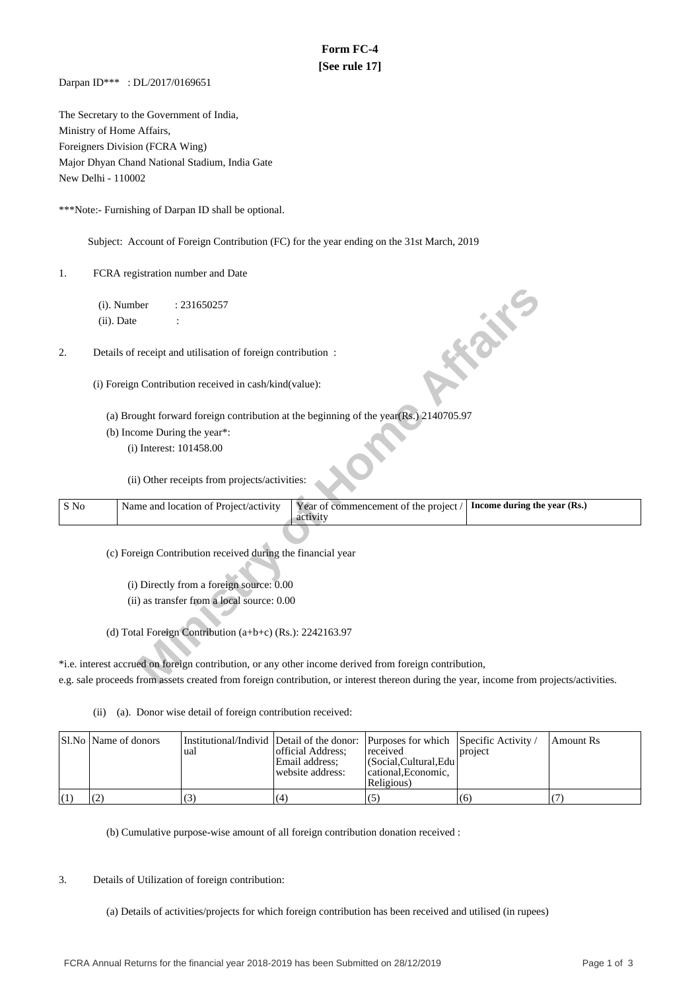# **Form FC-4 [See rule 17]**

Darpan ID\*\*\* : DL/2017/0169651

The Secretary to the Government of India, Ministry of Home Affairs, Foreigners Division (FCRA Wing) Major Dhyan Chand National Stadium, India Gate New Delhi - 110002

\*\*\*Note:- Furnishing of Darpan ID shall be optional.

Subject: Account of Foreign Contribution (FC) for the year ending on the 31st March, 2019

1. FCRA registration number and Date

- (a) Brought forward foreign contribution at the beginning of the year(Rs.) 2140705.97
- (b) Income During the year\*:

| (i). Number<br>: 231650257                                                                                                              |  |
|-----------------------------------------------------------------------------------------------------------------------------------------|--|
| $(ii)$ . Date                                                                                                                           |  |
| <b>FORT</b><br>Details of receipt and utilisation of foreign contribution:<br>2.                                                        |  |
| (i) Foreign Contribution received in cash/kind(value):                                                                                  |  |
| (a) Brought forward foreign contribution at the beginning of the year(Rs.) 2140705.97                                                   |  |
| (b) Income During the year*:                                                                                                            |  |
| (i) Interest: 101458.00                                                                                                                 |  |
| (ii) Other receipts from projects/activities:                                                                                           |  |
| Name and location of Project/activity<br>Income during the year (Rs.)<br>S No<br>Year of commencement of the project /<br>activity      |  |
|                                                                                                                                         |  |
| (c) Foreign Contribution received during the financial year                                                                             |  |
|                                                                                                                                         |  |
| (i) Directly from a foreign source: 0.00                                                                                                |  |
| (ii) as transfer from a local source: 0.00                                                                                              |  |
|                                                                                                                                         |  |
| (d) Total Foreign Contribution $(a+b+c)$ (Rs.): 2242163.97                                                                              |  |
| *i.e. interest accrued on foreign contribution, or any other income derived from foreign contribution,                                  |  |
| e.g. sale proceeds from assets created from foreign contribution, or interest thereon during the year, income from projects/activities. |  |

\*i.e. interest accrued on foreign contribution, or any other income derived from foreign contribution, e.g. sale proceeds from assets created from foreign contribution, or interest thereon during the year, income from projects/activities.

(ii) (a). Donor wise detail of foreign contribution received:

| Sl.No   Name of donors | ual | official Address:<br>Email address:<br>website address: | Institutional/Individ Detail of the donor: Purposes for which Specific Activity /<br>received<br>  (Social, Cultural, Edu<br>cational. Economic.<br>Religious) | project | Amount Rs |
|------------------------|-----|---------------------------------------------------------|----------------------------------------------------------------------------------------------------------------------------------------------------------------|---------|-----------|
|                        |     | (4)                                                     |                                                                                                                                                                | (6)     |           |

(b) Cumulative purpose-wise amount of all foreign contribution donation received :

3. Details of Utilization of foreign contribution:

(a) Details of activities/projects for which foreign contribution has been received and utilised (in rupees)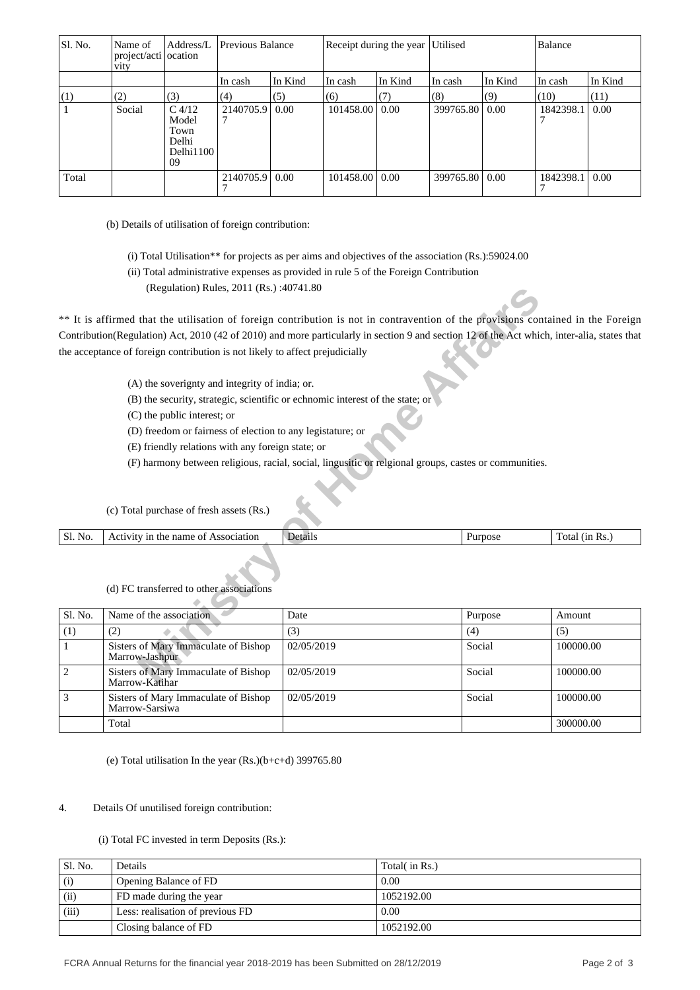| Sl. No. | Name of<br>project/acti ocation<br><b>V1ty</b> | Address/L                                             | Previous Balance |         | Receipt during the year Utilised |         |                  |         | Balance   |         |
|---------|------------------------------------------------|-------------------------------------------------------|------------------|---------|----------------------------------|---------|------------------|---------|-----------|---------|
|         |                                                |                                                       | In cash          | In Kind | In cash                          | In Kind | In cash          | In Kind | In cash   | In Kind |
| (1)     | (2)                                            | (3)                                                   | (4)              | (5)     | (6)                              | (7)     | (8)              | (9)     | (10)      | (11)    |
|         | Social                                         | $C$ 4/12<br>Model<br>Town<br>Delhi<br>Delhi1100<br>09 | 2140705.9        | 0.00    | 101458.00   0.00                 |         | 399765.80   0.00 |         | 1842398.1 | 0.00    |
| Total   |                                                |                                                       | 2140705.9   0.00 |         | 101458.00   0.00                 |         | 399765.80   0.00 |         | 1842398.1 | 0.00    |

(b) Details of utilisation of foreign contribution:

- (i) Total Utilisation\*\* for projects as per aims and objectives of the association (Rs.):59024.00
- (ii) Total administrative expenses as provided in rule 5 of the Foreign Contribution (Regulation) Rules, 2011 (Rs.) :40741.80

- (A) the soverignty and integrity of india; or.
- (B) the security, strategic, scientific or echnomic interest of the state; or
- (C) the public interest; or
- (D) freedom or fairness of election to any legistature; or
- (E) friendly relations with any foreign state; or
- (F) harmony between religious, racial, social, lingusitic or relgional groups, castes or communities.

| Sl. No. | nar<br>А.<br>ation"<br>ne<br>ΩТ<br>ıп<br>.rne<br>$\cdot$ IV.<br><br>. |  | $\mathbf{r}$<br>`ota<br>'1n<br>к<br>ີ |
|---------|-----------------------------------------------------------------------|--|---------------------------------------|
|         |                                                                       |  |                                       |

# (d) FC transferred to other associations

|                | (Regulation) Rules, 2011 (Rs.) :40/41.80                                                                                                    |                                                                                                       |         |                |
|----------------|---------------------------------------------------------------------------------------------------------------------------------------------|-------------------------------------------------------------------------------------------------------|---------|----------------|
|                | ** It is affirmed that the utilisation of foreign contribution is not in contravention of the provisions contained in the Foreign           |                                                                                                       |         |                |
|                |                                                                                                                                             |                                                                                                       |         |                |
|                | Contribution(Regulation) Act, 2010 (42 of 2010) and more particularly in section 9 and section 12 of the Act which, inter-alia, states that |                                                                                                       |         |                |
|                | the acceptance of foreign contribution is not likely to affect prejudicially                                                                |                                                                                                       |         |                |
|                |                                                                                                                                             |                                                                                                       |         |                |
|                | (A) the soverignty and integrity of india; or.                                                                                              |                                                                                                       |         |                |
|                | (B) the security, strategic, scientific or echnomic interest of the state; or                                                               |                                                                                                       |         |                |
|                | (C) the public interest; or                                                                                                                 |                                                                                                       |         |                |
|                | (D) freedom or fairness of election to any legistature; or                                                                                  |                                                                                                       |         |                |
|                | (E) friendly relations with any foreign state; or                                                                                           |                                                                                                       |         |                |
|                |                                                                                                                                             | (F) harmony between religious, racial, social, lingusitic or relgional groups, castes or communities. |         |                |
|                |                                                                                                                                             |                                                                                                       |         |                |
|                | (c) Total purchase of fresh assets (Rs.)                                                                                                    |                                                                                                       |         |                |
| Sl. No.        | Activity in the name of Association                                                                                                         | Details                                                                                               | Purpose | Total (in Rs.) |
|                | (d) FC transferred to other associations                                                                                                    |                                                                                                       |         |                |
| Sl. No.        | Name of the association                                                                                                                     | Date                                                                                                  | Purpose | Amount         |
| (1)            | (2)                                                                                                                                         | (3)                                                                                                   | (4)     | (5)            |
| $\mathbf{1}$   | Sisters of Mary Immaculate of Bishop<br>Marrow-Jashpur                                                                                      | 02/05/2019                                                                                            | Social  | 100000.00      |
| $\overline{c}$ | Sisters of Mary Immaculate of Bishop<br>Marrow-Katihar                                                                                      | 02/05/2019                                                                                            | Social  | 100000.00      |
| 3              | Sisters of Mary Immaculate of Bishop<br>Marrow-Sarsiwa                                                                                      | 02/05/2019                                                                                            | Social  | 100000.00      |
|                | Total                                                                                                                                       |                                                                                                       |         | 300000.00      |
|                |                                                                                                                                             |                                                                                                       |         |                |

(e) Total utilisation In the year  $(Rs.)(b+c+d)$  399765.80

## 4. Details Of unutilised foreign contribution:

# (i) Total FC invested in term Deposits (Rs.):

| Sl. No. | Details                          | Total( in Rs.) |
|---------|----------------------------------|----------------|
| (i)     | Opening Balance of FD            | 0.00           |
| (ii)    | FD made during the year          | 1052192.00     |
| (iii)   | Less: realisation of previous FD | 0.00           |
|         | Closing balance of FD            | 1052192.00     |